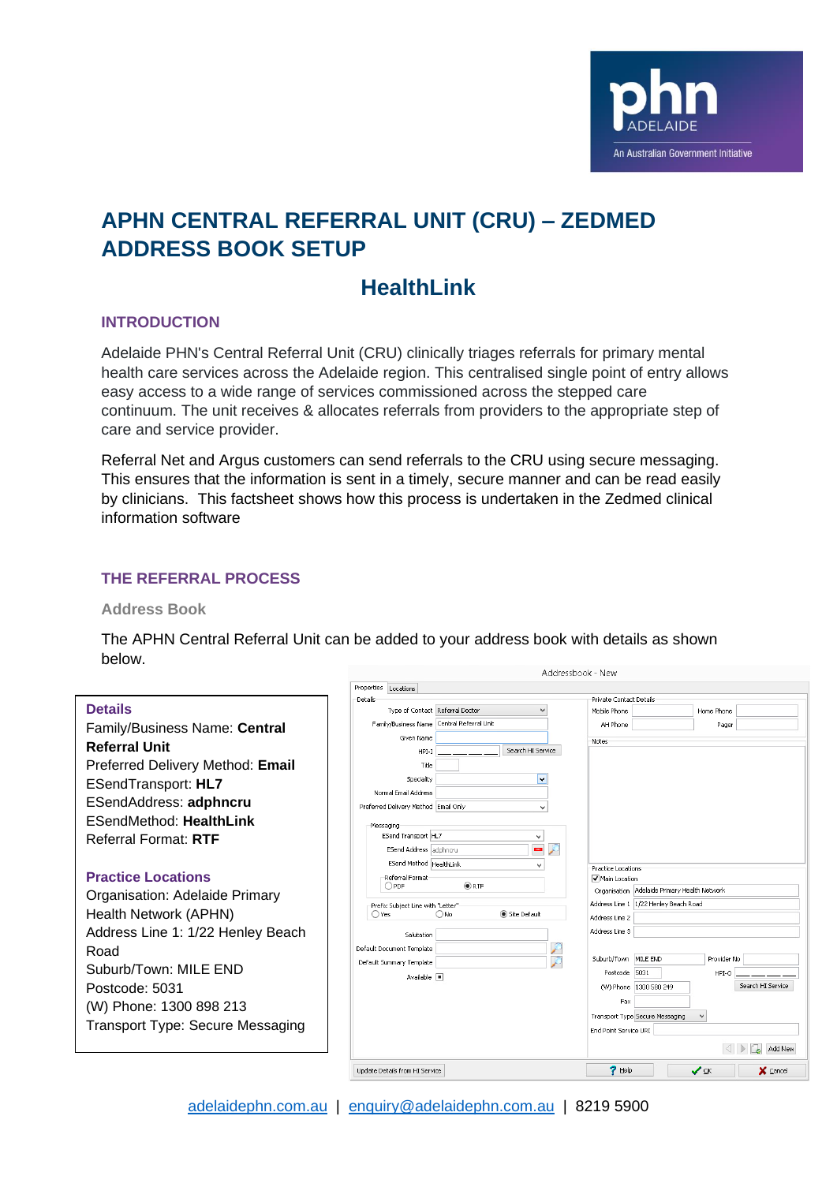

# **APHN CENTRAL REFERRAL UNIT (CRU) – ZEDMED ADDRESS BOOK SETUP**

## **HealthLink**

### **INTRODUCTION**

Adelaide PHN's Central Referral Unit (CRU) clinically triages referrals for primary mental health care services across the Adelaide region. This centralised single point of entry allows easy access to a wide range of services commissioned across the stepped care continuum. The unit receives & allocates referrals from providers to the appropriate step of care and service provider.

Referral Net and Argus customers can send referrals to the CRU using secure messaging. This ensures that the information is sent in a timely, secure manner and can be read easily by clinicians. This factsheet shows how this process is undertaken in the Zedmed clinical information software

## **THE REFERRAL PROCESS**

#### **Address Book**

The APHN Central Referral Unit can be added to your address book with details as shown below. Addresshook - New

|                                         | Properties<br>Locations                                    | Private Contact Details                                                             |  |  |
|-----------------------------------------|------------------------------------------------------------|-------------------------------------------------------------------------------------|--|--|
| <b>Details</b>                          | Details<br>Type of Contact Referral Doctor                 | Mobile Phone<br>Home Phone                                                          |  |  |
| Family/Business Name: Central           | Family/Business Name Central Referral Unit                 | AH Phone<br>Pager                                                                   |  |  |
| <b>Referral Unit</b>                    | Given Name                                                 | Notes                                                                               |  |  |
| Preferred Delivery Method: Email        | Search HI Service<br>HPI-I<br>Title                        |                                                                                     |  |  |
|                                         | Speciality                                                 |                                                                                     |  |  |
| <b>ESendTransport: HL7</b>              | Normal Email Address                                       |                                                                                     |  |  |
| ESendAddress: adphncru                  | Preferred Delivery Method Email Only<br>$\checkmark$       |                                                                                     |  |  |
| <b>ESendMethod: HealthLink</b>          | Messaging                                                  |                                                                                     |  |  |
| Referral Format: RTF                    | ESend Transport HL7<br>v                                   |                                                                                     |  |  |
|                                         | P<br>m,<br>ESend Address adphncru                          |                                                                                     |  |  |
| <b>Practice Locations</b>               | ESend Method HealthLink<br>$\checkmark$<br>Referral Format | Practice Locations<br>Main Location<br>Organisation Adelaide Primary Health Network |  |  |
|                                         | @RTF<br>OPDF                                               |                                                                                     |  |  |
| Organisation: Adelaide Primary          | Prefix Subject Line with "Letter"                          | Address Line 1   1/22 Henley Beach Road                                             |  |  |
| Health Network (APHN)                   | Site Default<br>∩No<br>○Yes                                | Address Line 2                                                                      |  |  |
| Address Line 1: 1/22 Henley Beach       | Salutation                                                 | Address Line 3                                                                      |  |  |
| Road                                    | Default Document Template<br>∕<br>Ø                        | Suburb/Town MILE END<br>Provider No                                                 |  |  |
| Suburb/Town: MILE END                   | Default Summary Template<br>Available <b>I</b>             | Postcode 5031<br>HPI-O                                                              |  |  |
| Postcode: 5031                          |                                                            | Search HI Service<br>(W) Phone   1300 580 249                                       |  |  |
| (W) Phone: 1300 898 213                 |                                                            | Fax                                                                                 |  |  |
| <b>Transport Type: Secure Messaging</b> |                                                            | Transport Type Secure Messaging<br>$\checkmark$                                     |  |  |
|                                         |                                                            | End Point Service URI                                                               |  |  |
|                                         |                                                            | Add New                                                                             |  |  |
|                                         | Undate Details from HI Service                             | $7$ Help<br>$\blacktriangledown$ ok<br>X ⊆ancel                                     |  |  |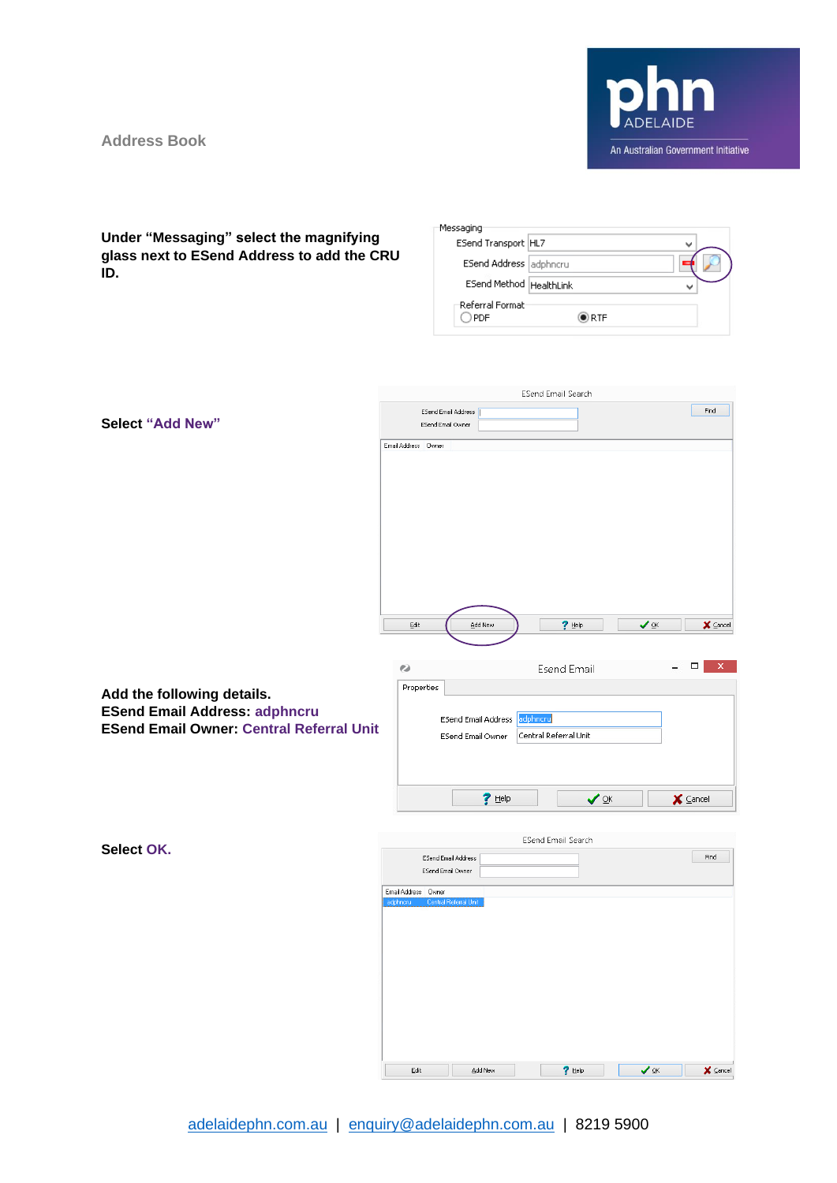**Address Book**



#### **Under "Messaging" select the magnifying glass next to ESend Address to add the CRU ID.**

| ESend Transport HL7     |  |
|-------------------------|--|
| ESend Address adphncru  |  |
| ESend Method HealthLink |  |
| Referral Format:        |  |

|                                                 |                                   |                                          | ESend Email Search        |           |                            |
|-------------------------------------------------|-----------------------------------|------------------------------------------|---------------------------|-----------|----------------------------|
|                                                 | ESend Email Address               |                                          |                           |           | Find                       |
| <b>Select "Add New"</b>                         | ESend Email Owner                 |                                          |                           |           |                            |
|                                                 | Email Address Owner               |                                          |                           |           |                            |
|                                                 |                                   |                                          |                           |           |                            |
|                                                 |                                   |                                          |                           |           |                            |
|                                                 |                                   |                                          |                           |           |                            |
|                                                 |                                   |                                          |                           |           |                            |
|                                                 |                                   |                                          |                           |           |                            |
|                                                 |                                   |                                          |                           |           |                            |
|                                                 |                                   |                                          |                           |           |                            |
|                                                 |                                   |                                          |                           |           |                            |
|                                                 |                                   |                                          |                           |           |                            |
|                                                 | Edit                              | Add New                                  | $?$ Help                  | $\vee$ ok | $\times$ Cancel            |
|                                                 |                                   |                                          |                           |           |                            |
|                                                 |                                   |                                          |                           |           |                            |
|                                                 | ø                                 |                                          | <b>Esend Email</b>        |           | $\Box$<br>×                |
| Add the following details.                      | Properties                        |                                          |                           |           |                            |
| <b>ESend Email Address: adphncru</b>            |                                   |                                          | adphncru                  |           |                            |
| <b>ESend Email Owner: Central Referral Unit</b> |                                   | ESend Email Address<br>ESend Email Owner | Central Referral Unit     |           |                            |
|                                                 |                                   |                                          |                           |           |                            |
|                                                 |                                   |                                          |                           |           |                            |
|                                                 |                                   |                                          |                           |           |                            |
|                                                 |                                   | $?$ Help                                 | ✔                         |           | $\times$ Cancel            |
|                                                 |                                   |                                          |                           |           |                            |
|                                                 |                                   |                                          | <b>ESend Email Search</b> |           |                            |
| Select OK.                                      | ESend Email Address               |                                          |                           |           | Find                       |
|                                                 | ESend Email Owner                 |                                          |                           |           |                            |
|                                                 | Email Address Dwner               |                                          |                           |           |                            |
|                                                 | Central Referral Unit<br>adphnoru |                                          |                           |           |                            |
|                                                 |                                   |                                          |                           |           |                            |
|                                                 |                                   |                                          |                           |           |                            |
|                                                 |                                   |                                          |                           |           |                            |
|                                                 |                                   |                                          |                           |           |                            |
|                                                 |                                   |                                          |                           |           |                            |
|                                                 |                                   |                                          |                           |           |                            |
|                                                 |                                   |                                          |                           |           |                            |
|                                                 |                                   |                                          |                           |           |                            |
|                                                 | Edit                              | Add New                                  | $?$ Help                  | $\vee$ ok | $\times$ $\subseteq$ ancel |